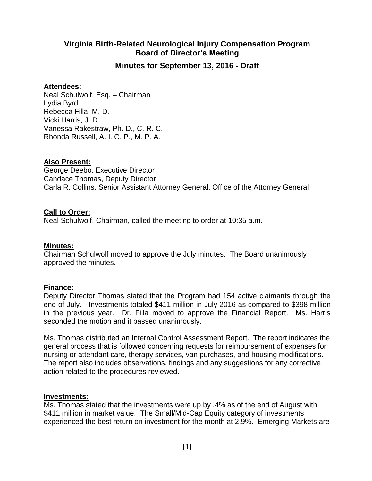# **Virginia Birth-Related Neurological Injury Compensation Program Board of Director's Meeting**

# **Minutes for September 13, 2016 - Draft**

## **Attendees:**

Neal Schulwolf, Esq. – Chairman Lydia Byrd Rebecca Filla, M. D. Vicki Harris, J. D. Vanessa Rakestraw, Ph. D., C. R. C. Rhonda Russell, A. I. C. P., M. P. A.

## **Also Present:**

George Deebo, Executive Director Candace Thomas, Deputy Director Carla R. Collins, Senior Assistant Attorney General, Office of the Attorney General

# **Call to Order:**

Neal Schulwolf, Chairman, called the meeting to order at 10:35 a.m.

## **Minutes:**

Chairman Schulwolf moved to approve the July minutes. The Board unanimously approved the minutes.

## **Finance:**

Deputy Director Thomas stated that the Program had 154 active claimants through the end of July. Investments totaled \$411 million in July 2016 as compared to \$398 million in the previous year. Dr. Filla moved to approve the Financial Report. Ms. Harris seconded the motion and it passed unanimously.

Ms. Thomas distributed an Internal Control Assessment Report. The report indicates the general process that is followed concerning requests for reimbursement of expenses for nursing or attendant care, therapy services, van purchases, and housing modifications. The report also includes observations, findings and any suggestions for any corrective action related to the procedures reviewed.

#### **Investments:**

Ms. Thomas stated that the investments were up by .4% as of the end of August with \$411 million in market value. The Small/Mid-Cap Equity category of investments experienced the best return on investment for the month at 2.9%. Emerging Markets are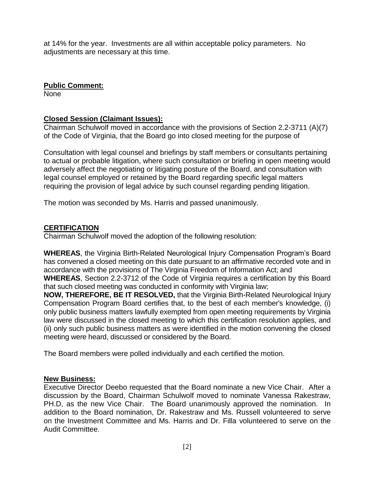at 14% for the year. Investments are all within acceptable policy parameters. No adjustments are necessary at this time.

# **Public Comment:**

None

# **Closed Session (Claimant Issues):**

Chairman Schulwolf moved in accordance with the provisions of Section 2.2-3711 (A)(7) of the Code of Virginia, that the Board go into closed meeting for the purpose of

Consultation with legal counsel and briefings by staff members or consultants pertaining to actual or probable litigation, where such consultation or briefing in open meeting would adversely affect the negotiating or litigating posture of the Board, and consultation with legal counsel employed or retained by the Board regarding specific legal matters requiring the provision of legal advice by such counsel regarding pending litigation.

The motion was seconded by Ms. Harris and passed unanimously.

# **CERTIFICATION**

Chairman Schulwolf moved the adoption of the following resolution:

**WHEREAS**, the Virginia Birth-Related Neurological Injury Compensation Program's Board has convened a closed meeting on this date pursuant to an affirmative recorded vote and in accordance with the provisions of The Virginia Freedom of Information Act; and

**WHEREAS**, Section 2.2-3712 of the Code of Virginia requires a certification by this Board that such closed meeting was conducted in conformity with Virginia law;

**NOW, THEREFORE, BE IT RESOLVED,** that the Virginia Birth-Related Neurological Injury Compensation Program Board certifies that, to the best of each member's knowledge, (i) only public business matters lawfully exempted from open meeting requirements by Virginia law were discussed in the closed meeting to which this certification resolution applies, and (ii) only such public business matters as were identified in the motion convening the closed meeting were heard, discussed or considered by the Board.

The Board members were polled individually and each certified the motion.

## **New Business:**

Executive Director Deebo requested that the Board nominate a new Vice Chair. After a discussion by the Board, Chairman Schulwolf moved to nominate Vanessa Rakestraw, PH.D, as the new Vice Chair. The Board unanimously approved the nomination. In addition to the Board nomination, Dr. Rakestraw and Ms. Russell volunteered to serve on the Investment Committee and Ms. Harris and Dr. Filla volunteered to serve on the Audit Committee.